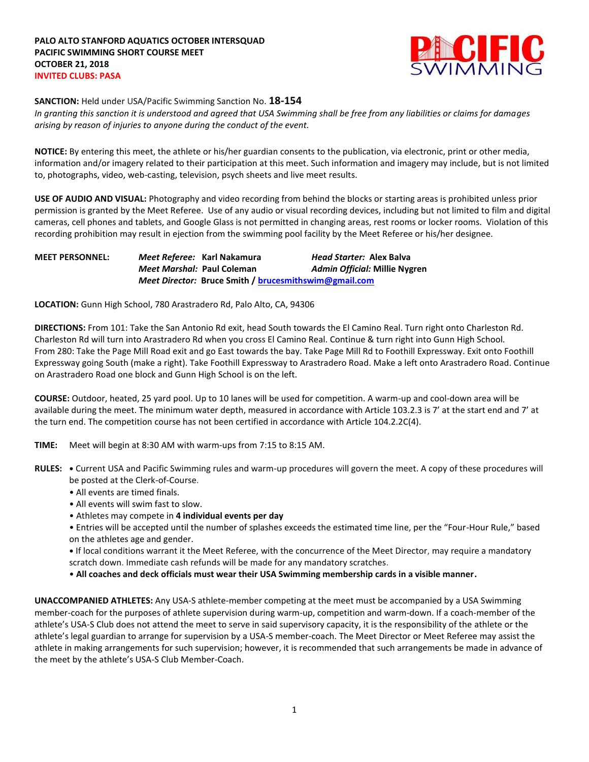

## **SANCTION:** Held under USA/Pacific Swimming Sanction No. **18-154**

*In granting this sanction it is understood and agreed that USA Swimming shall be free from any liabilities or claims for damages arising by reason of injuries to anyone during the conduct of the event.*

**NOTICE:** By entering this meet, the athlete or his/her guardian consents to the publication, via electronic, print or other media, information and/or imagery related to their participation at this meet. Such information and imagery may include, but is not limited to, photographs, video, web-casting, television, psych sheets and live meet results.

**USE OF AUDIO AND VISUAL:** Photography and video recording from behind the blocks or starting areas is prohibited unless prior permission is granted by the Meet Referee. Use of any audio or visual recording devices, including but not limited to film and digital cameras, cell phones and tablets, and Google Glass is not permitted in changing areas, rest rooms or locker rooms. Violation of this recording prohibition may result in ejection from the swimming pool facility by the Meet Referee or his/her designee.

**MEET PERSONNEL:** *Meet Referee:* **Karl Nakamura** *Head Starter:* **Alex Balva** *Meet Marshal:* **Paul Coleman** *Admin Official:* **Millie Nygren** *Meet Director:* **Bruce Smith / [brucesmithswim@gmail.com](mailto:brucesmithswim@gmail.com)**

**LOCATION:** Gunn High School, 780 Arastradero Rd, Palo Alto, CA, 94306

**DIRECTIONS:** From 101: Take the San Antonio Rd exit, head South towards the El Camino Real. Turn right onto Charleston Rd. Charleston Rd will turn into Arastradero Rd when you cross El Camino Real. Continue & turn right into Gunn High School. From 280: Take the Page Mill Road exit and go East towards the bay. Take Page Mill Rd to Foothill Expressway. Exit onto Foothill Expressway going South (make a right). Take Foothill Expressway to Arastradero Road. Make a left onto Arastradero Road. Continue on Arastradero Road one block and Gunn High School is on the left.

**COURSE:** Outdoor, heated, 25 yard pool. Up to 10 lanes will be used for competition. A warm-up and cool-down area will be available during the meet. The minimum water depth, measured in accordance with Article 103.2.3 is 7' at the start end and 7' at the turn end. The competition course has not been certified in accordance with Article 104.2.2C(4).

- **TIME:** Meet will begin at 8:30 AM with warm-ups from 7:15 to 8:15 AM.
- **RULES: •** Current USA and Pacific Swimming rules and warm-up procedures will govern the meet. A copy of these procedures will be posted at the Clerk-of-Course.
	- All events are timed finals.
	- All events will swim fast to slow.
	- Athletes may compete in **4 individual events per day**
	- Entries will be accepted until the number of splashes exceeds the estimated time line, per the "Four-Hour Rule," based on the athletes age and gender.

**•** If local conditions warrant it the Meet Referee, with the concurrence of the Meet Director, may require a mandatory scratch down. Immediate cash refunds will be made for any mandatory scratches.

• **All coaches and deck officials must wear their USA Swimming membership cards in a visible manner.** 

**UNACCOMPANIED ATHLETES:** Any USA-S athlete-member competing at the meet must be accompanied by a USA Swimming member-coach for the purposes of athlete supervision during warm-up, competition and warm-down. If a coach-member of the athlete's USA-S Club does not attend the meet to serve in said supervisory capacity, it is the responsibility of the athlete or the athlete's legal guardian to arrange for supervision by a USA-S member-coach. The Meet Director or Meet Referee may assist the athlete in making arrangements for such supervision; however, it is recommended that such arrangements be made in advance of the meet by the athlete's USA-S Club Member-Coach.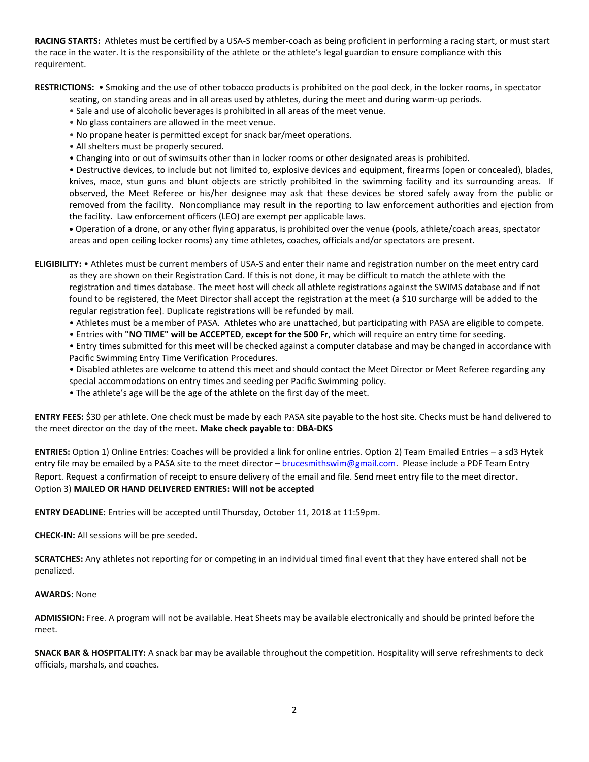**RACING STARTS:** Athletes must be certified by a USA-S member-coach as being proficient in performing a racing start, or must start the race in the water. It is the responsibility of the athlete or the athlete's legal guardian to ensure compliance with this requirement.

**RESTRICTIONS:** • Smoking and the use of other tobacco products is prohibited on the pool deck, in the locker rooms, in spectator

seating, on standing areas and in all areas used by athletes, during the meet and during warm-up periods.

- Sale and use of alcoholic beverages is prohibited in all areas of the meet venue.
- No glass containers are allowed in the meet venue.
- No propane heater is permitted except for snack bar/meet operations.
- All shelters must be properly secured.
- Changing into or out of swimsuits other than in locker rooms or other designated areas is prohibited.

• Destructive devices, to include but not limited to, explosive devices and equipment, firearms (open or concealed), blades, knives, mace, stun guns and blunt objects are strictly prohibited in the swimming facility and its surrounding areas. If observed, the Meet Referee or his/her designee may ask that these devices be stored safely away from the public or removed from the facility. Noncompliance may result in the reporting to law enforcement authorities and ejection from the facility. Law enforcement officers (LEO) are exempt per applicable laws.

 Operation of a drone, or any other flying apparatus, is prohibited over the venue (pools, athlete/coach areas, spectator areas and open ceiling locker rooms) any time athletes, coaches, officials and/or spectators are present.

**ELIGIBILITY:** • Athletes must be current members of USA-S and enter their name and registration number on the meet entry card as they are shown on their Registration Card. If this is not done, it may be difficult to match the athlete with the registration and times database. The meet host will check all athlete registrations against the SWIMS database and if not found to be registered, the Meet Director shall accept the registration at the meet (a \$10 surcharge will be added to the regular registration fee). Duplicate registrations will be refunded by mail.

- Athletes must be a member of PASA. Athletes who are unattached, but participating with PASA are eligible to compete.
- Entries with **"NO TIME" will be ACCEPTED**, **except for the 500 Fr**, which will require an entry time for seeding.

• Entry times submitted for this meet will be checked against a computer database and may be changed in accordance with Pacific Swimming Entry Time Verification Procedures.

- Disabled athletes are welcome to attend this meet and should contact the Meet Director or Meet Referee regarding any
- special accommodations on entry times and seeding per Pacific Swimming policy.
- The athlete's age will be the age of the athlete on the first day of the meet.

**ENTRY FEES:** \$30 per athlete. One check must be made by each PASA site payable to the host site. Checks must be hand delivered to the meet director on the day of the meet. **Make check payable to**: **DBA-DKS**

**ENTRIES:** Option 1) Online Entries: Coaches will be provided a link for online entries. Option 2) Team Emailed Entries – a sd3 Hytek entry file may be emailed by a PASA site to the meet director - [brucesmithswim@gmail.com.](mailto:brucesmithswim@gmail.com) Please include a PDF Team Entry Report. Request a confirmation of receipt to ensure delivery of the email and file. Send meet entry file to the meet director. Option 3) **MAILED OR HAND DELIVERED ENTRIES: Will not be accepted**

**ENTRY DEADLINE:** Entries will be accepted until Thursday, October 11, 2018 at 11:59pm.

**CHECK-IN:** All sessions will be pre seeded.

**SCRATCHES:** Any athletes not reporting for or competing in an individual timed final event that they have entered shall not be penalized.

## **AWARDS:** None

**ADMISSION:** Free. A program will not be available. Heat Sheets may be available electronically and should be printed before the meet.

**SNACK BAR & HOSPITALITY:** A snack bar may be available throughout the competition. Hospitality will serve refreshments to deck officials, marshals, and coaches.